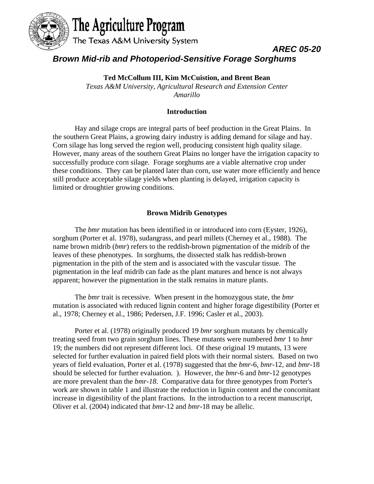

# *Brown Mid-rib and Photoperiod-Sensitive Forage Sorghums*

**Ted McCollum III, Kim McCuistion, and Brent Bean** 

*AREC 05-20* 

*Texas A&M University, Agricultural Research and Extension Center Amarillo* 

# **Introduction**

Hay and silage crops are integral parts of beef production in the Great Plains. In the southern Great Plains, a growing dairy industry is adding demand for silage and hay. Corn silage has long served the region well, producing consistent high quality silage. However, many areas of the southern Great Plains no longer have the irrigation capacity to successfully produce corn silage. Forage sorghums are a viable alternative crop under these conditions. They can be planted later than corn, use water more efficiently and hence still produce acceptable silage yields when planting is delayed, irrigation capacity is limited or droughtier growing conditions.

# **Brown Midrib Genotypes**

The *bmr* mutation has been identified in or introduced into corn (Eyster, 1926), sorghum (Porter et al. 1978), sudangrass, and pearl millets (Cherney et al., 1988). The name brown midrib (*bmr*) refers to the reddish-brown pigmentation of the midrib of the leaves of these phenotypes. In sorghums, the dissected stalk has reddish-brown pigmentation in the pith of the stem and is associated with the vascular tissue. The pigmentation in the leaf midrib can fade as the plant matures and hence is not always apparent; however the pigmentation in the stalk remains in mature plants.

The *bmr* trait is recessive. When present in the homozygous state, the *bmr* mutation is associated with reduced lignin content and higher forage digestibility (Porter et al., 1978; Cherney et al., 1986; Pedersen, J.F. 1996; Casler et al., 2003).

Porter et al. (1978) originally produced 19 *bmr* sorghum mutants by chemically treating seed from two grain sorghum lines. These mutants were numbered *bmr* 1 to *bmr* 19; the numbers did not represent different loci. Of these original 19 mutants, 13 were selected for further evaluation in paired field plots with their normal sisters. Based on two years of field evaluation, Porter et al. (1978) suggested that the *bmr*-6, *bmr*-12, and *bmr*-18 should be selected for further evaluation. ). However, the *bmr*-6 and *bmr*-12 genotypes are more prevalent than the *bmr-18*. Comparative data for three genotypes from Porter's work are shown in table 1 and illustrate the reduction in lignin content and the concomitant increase in digestibility of the plant fractions. In the introduction to a recent manuscript, Oliver et al. (2004) indicated that *bmr*-12 and *bmr*-18 may be allelic.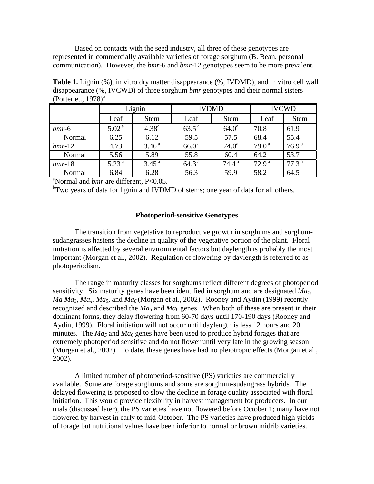Based on contacts with the seed industry, all three of these genotypes are represented in commercially available varieties of forage sorghum (B. Bean, personal communication). However, the *bmr*-6 and *bmr*-12 genotypes seem to be more prevalent.

**Table 1.** Lignin (%), in vitro dry matter disappearance (%, IVDMD), and in vitro cell wall disappearance (%, IVCWD) of three sorghum *bmr* genotypes and their normal sisters (Porter et.,  $1978$ )<sup>b</sup>

|                                                  | Lignin            |                   | <b>IVDMD</b>      |                   | <b>IVCWD</b>      |                   |  |  |  |
|--------------------------------------------------|-------------------|-------------------|-------------------|-------------------|-------------------|-------------------|--|--|--|
|                                                  | Leaf              | <b>Stem</b>       | Leaf              | <b>Stem</b>       | Leaf              | <b>Stem</b>       |  |  |  |
| $bmr$ -6                                         | 5.02 <sup>a</sup> | $4.38^{a}$        | $63.5^{\text{a}}$ | $64.0^{\rm a}$    | 70.8              | 61.9              |  |  |  |
| Normal                                           | 6.25              | 6.12              | 59.5              | 57.5              | 68.4              | 55.4              |  |  |  |
| $bmr-12$                                         | 4.73              | 3.46 <sup>a</sup> | 66.0 <sup>a</sup> | $74.0^{\rm a}$    | $79.0^{\text{a}}$ | 76.9 <sup>a</sup> |  |  |  |
| Normal                                           | 5.56              | 5.89              | 55.8              | 60.4              | 64.2              | 53.7              |  |  |  |
| $bmr-18$                                         | 5.23 <sup>a</sup> | $3.45^{a}$        | 64.3 <sup>a</sup> | $74.4^{\text{a}}$ | 72.9 <sup>a</sup> | 77.3 <sup>a</sup> |  |  |  |
| Normal                                           | 6.84              | 6.28              | 56.3              | 59.9              | 58.2              | 64.5              |  |  |  |
| "Normal and <i>bmr</i> are different, $P<0.05$ . |                   |                   |                   |                   |                   |                   |  |  |  |

<sup>b</sup>Two years of data for lignin and IVDMD of stems; one year of data for all others.

## **Photoperiod-sensitive Genotypes**

The transition from vegetative to reproductive growth in sorghums and sorghumsudangrasses hastens the decline in quality of the vegetative portion of the plant. Floral initiation is affected by several environmental factors but daylength is probably the most important (Morgan et al., 2002). Regulation of flowering by daylength is referred to as photoperiodism.

The range in maturity classes for sorghums reflect different degrees of photoperiod sensitivity. Six maturity genes have been identified in sorghum and are designated *Ma1*, *Ma Ma<sub>3</sub>*, *Ma<sub>4</sub>*, *Ma<sub>5</sub>*, and *Ma<sub>6</sub>* (Morgan et al., 2002). Rooney and Aydin (1999) recently recognized and described the  $Ma<sub>5</sub>$  and  $Ma<sub>6</sub>$  genes. When both of these are present in their dominant forms, they delay flowering from 60-70 days until 170-190 days (Rooney and Aydin, 1999). Floral initiation will not occur until daylength is less 12 hours and 20 minutes. The  $Ma<sub>5</sub>$  and  $Ma<sub>6</sub>$  genes have been used to produce hybrid forages that are extremely photoperiod sensitive and do not flower until very late in the growing season (Morgan et al., 2002). To date, these genes have had no pleiotropic effects (Morgan et al., 2002).

A limited number of photoperiod-sensitive (PS) varieties are commercially available. Some are forage sorghums and some are sorghum-sudangrass hybrids. The delayed flowering is proposed to slow the decline in forage quality associated with floral initiation. This would provide flexibility in harvest management for producers. In our trials (discussed later), the PS varieties have not flowered before October 1; many have not flowered by harvest in early to mid-October. The PS varieties have produced high yields of forage but nutritional values have been inferior to normal or brown midrib varieties.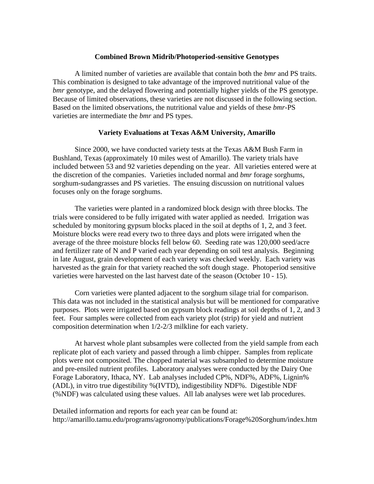## **Combined Brown Midrib/Photoperiod-sensitive Genotypes**

A limited number of varieties are available that contain both the *bmr* and PS traits. This combination is designed to take advantage of the improved nutritional value of the *bmr* genotype, and the delayed flowering and potentially higher yields of the PS genotype. Because of limited observations, these varieties are not discussed in the following section. Based on the limited observations, the nutritional value and yields of these *bmr-*PS varieties are intermediate the *bmr* and PS types.

## **Variety Evaluations at Texas A&M University, Amarillo**

Since 2000, we have conducted variety tests at the Texas A&M Bush Farm in Bushland, Texas (approximately 10 miles west of Amarillo). The variety trials have included between 53 and 92 varieties depending on the year. All varieties entered were at the discretion of the companies. Varieties included normal and *bmr* forage sorghums, sorghum-sudangrasses and PS varieties. The ensuing discussion on nutritional values focuses only on the forage sorghums.

The varieties were planted in a randomized block design with three blocks. The trials were considered to be fully irrigated with water applied as needed. Irrigation was scheduled by monitoring gypsum blocks placed in the soil at depths of 1, 2, and 3 feet. Moisture blocks were read every two to three days and plots were irrigated when the average of the three moisture blocks fell below 60. Seeding rate was 120,000 seed/acre and fertilizer rate of N and P varied each year depending on soil test analysis. Beginning in late August, grain development of each variety was checked weekly. Each variety was harvested as the grain for that variety reached the soft dough stage. Photoperiod sensitive varieties were harvested on the last harvest date of the season (October 10 - 15).

Corn varieties were planted adjacent to the sorghum silage trial for comparison. This data was not included in the statistical analysis but will be mentioned for comparative purposes. Plots were irrigated based on gypsum block readings at soil depths of 1, 2, and 3 feet. Four samples were collected from each variety plot (strip) for yield and nutrient composition determination when 1/2-2/3 milkline for each variety.

 At harvest whole plant subsamples were collected from the yield sample from each replicate plot of each variety and passed through a limb chipper. Samples from replicate plots were not composited. The chopped material was subsampled to determine moisture and pre-ensiled nutrient profiles. Laboratory analyses were conducted by the Dairy One Forage Laboratory, Ithaca, NY. Lab analyses included CP%, NDF%, ADF%, Lignin% (ADL), in vitro true digestibility %(IVTD), indigestibility NDF%. Digestible NDF (%NDF) was calculated using these values. All lab analyses were wet lab procedures.

Detailed information and reports for each year can be found at: [http://amarillo.tamu.edu/programs/agronomy/publications/Forage%20Sorghum/index.htm](http://amarillo.tamu.edu/)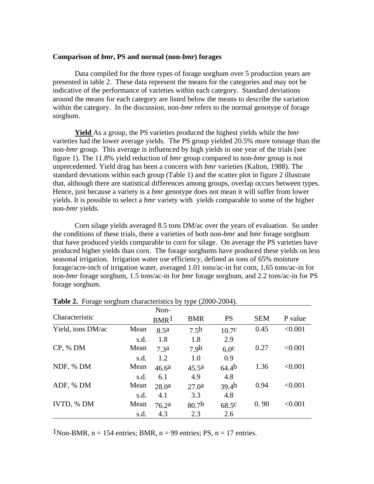#### **Comparison of** *bmr***, PS and normal (non-***bmr***) forages**

 Data compiled for the three types of forage sorghum over 5 production years are presented in table 2. These data represent the means for the categories and may not be indicative of the performance of varieties within each category. Standard deviations around the means for each category are listed below the means to describe the variation within the category. In the discussion, non-*bmr* refers to the normal genotype of forage sorghum.

**Yield** As a group, the PS varieties produced the highest yields while the *bmr* varieties had the lower average yields. The PS group yielded 20.5% more tonnage than the non-*bmr* group. This average is influenced by high yields in one year of the trials (see figure 1). The 11.8% yield reduction of *bmr* group compared to non-*bmr* group is not unprecedented. Yield drag has been a concern with *bmr* varieties (Kalton, 1988)*.* The standard deviations within each group (Table 1) and the scatter plot in figure 2 illustrate that, although there are statistical differences among groups, overlap occurs between types. Hence, just because a variety is a *bmr* genotype does not mean it will suffer from lower yields. It is possible to select a *bmr* variety with yields comparable to some of the higher non-*bmr* yields.

Corn silage yields averaged 8.5 tons DM/ac over the years of evaluation. So under the conditions of these trials, there a varieties of both non-*bmr* and *bmr* forage sorghum that have produced yields comparable to corn for silage. On average the PS varieties have produced higher yields than corn. The forage sorghums have produced these yields on less seasonal irrigation. Irrigation water use efficiency, defined as tons of 65% moisture forage/acre-inch of irrigation water, averaged 1.01 tons/ac-in for corn, 1,65 tons/ac-in for non-*bmr* forage sorghum, 1.5 tons/ac-in for *bmr* forage sorghum, and 2.2 tons/ac-in for PS forage sorghum.

|                   |      | Non-              |                   |                   |            |         |
|-------------------|------|-------------------|-------------------|-------------------|------------|---------|
| Characteristic    |      | BMR <sup>1</sup>  | <b>BMR</b>        | <b>PS</b>         | <b>SEM</b> | P value |
| Yield, tons DM/ac | Mean | 8.5a              | 7.5 <sup>b</sup>  | 10.7 <sup>c</sup> | 0.45       | < 0.001 |
|                   | s.d. | 1.8               | 1.8               | 2.9               |            |         |
| CP, % DM          | Mean | 7.3 <sup>a</sup>  | 7.9 <sub>b</sub>  | 6.0 <sup>c</sup>  | 0.27       | < 0.001 |
|                   | s.d. | 1.2               | 1.0               | 0.9               |            |         |
| NDF, % DM         | Mean | 46.6 <sup>a</sup> | 45.5 <sup>a</sup> | 64.4 <sup>b</sup> | 1.36       | < 0.001 |
|                   | s.d. | 6.1               | 4.9               | 4.8               |            |         |
| ADF, % DM         | Mean | 28.0 <sup>a</sup> | 27.0 <sup>a</sup> | 39.4 <sup>b</sup> | 0.94       | < 0.001 |
|                   | s.d. | 4.1               | 3.3               | 4.8               |            |         |
| IVTD, % DM        | Mean | 76.2 <sup>a</sup> | 80.7 <sup>b</sup> | 68.5 <sup>c</sup> | 0.90       | < 0.001 |
|                   | s.d. | 4.3               | 2.3               | 2.6               |            |         |

**Table 2.** Forage sorghum characteristics by type (2000-2004).

<sup>1</sup>Non-BMR, n = 154 entries; BMR, n = 99 entries; PS, n = 17 entries.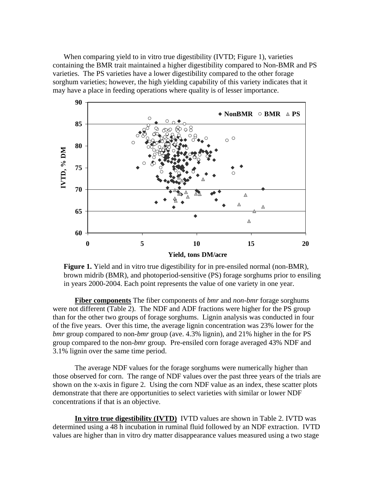When comparing yield to in vitro true digestibility (IVTD; Figure 1), varieties containing the BMR trait maintained a higher digestibility compared to Non-BMR and PS varieties. The PS varieties have a lower digestibility compared to the other forage sorghum varieties; however, the high yielding capability of this variety indicates that it may have a place in feeding operations where quality is of lesser importance.



**Figure 1.** Yield and in vitro true digestibility for in pre-ensiled normal (non-BMR), brown midrib (BMR), and photoperiod-sensitive (PS) forage sorghums prior to ensiling in years 2000-2004. Each point represents the value of one variety in one year.

**Fiber components** The fiber components of *bmr* and *non-bmr* forage sorghums were not different (Table 2). The NDF and ADF fractions were higher for the PS group than for the other two groups of forage sorghums. Lignin analysis was conducted in four of the five years. Over this time, the average lignin concentration was 23% lower for the *bmr* group compared to non-*bmr* group (ave. 4.3% lignin), and 21% higher in the for PS group compared to the non*-bmr* group*.* Pre-ensiled corn forage averaged 43% NDF and 3.1% lignin over the same time period.

The average NDF values for the forage sorghums were numerically higher than those observed for corn. The range of NDF values over the past three years of the trials are shown on the x-axis in figure 2. Using the corn NDF value as an index, these scatter plots demonstrate that there are opportunities to select varieties with similar or lower NDF concentrations if that is an objective.

**In vitro true digestibility (IVTD)** IVTD values are shown in Table 2. IVTD was determined using a 48 h incubation in ruminal fluid followed by an NDF extraction. IVTD values are higher than in vitro dry matter disappearance values measured using a two stage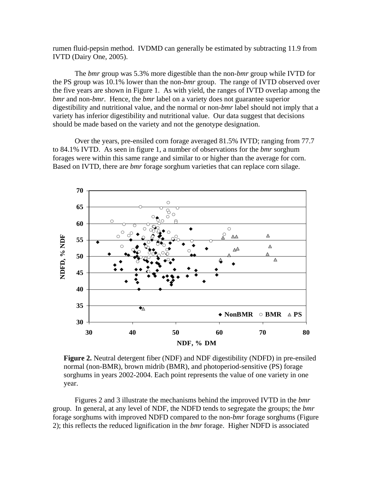rumen fluid-pepsin method. IVDMD can generally be estimated by subtracting 11.9 from IVTD (Dairy One, 2005).

The *bmr* group was 5.3% more digestible than the non-*bmr* group while IVTD for the PS group was 10.1% lower than the non-*bmr* group. The range of IVTD observed over the five years are shown in Figure 1. As with yield, the ranges of IVTD overlap among the *bmr* and non-*bmr*. Hence, the *bmr* label on a variety does not guarantee superior digestibility and nutritional value, and the normal or non-*bmr* label should not imply that a variety has inferior digestibility and nutritional value. Our data suggest that decisions should be made based on the variety and not the genotype designation.

 Over the years, pre-ensiled corn forage averaged 81.5% IVTD; ranging from 77.7 to 84.1% IVTD. As seen in figure 1, a number of observations for the *bmr* sorghum forages were within this same range and similar to or higher than the average for corn. Based on IVTD, there are *bmr* forage sorghum varieties that can replace corn silage.



**Figure 2.** Neutral detergent fiber (NDF) and NDF digestibility (NDFD) in pre-ensiled normal (non-BMR), brown midrib (BMR), and photoperiod-sensitive (PS) forage sorghums in years 2002-2004. Each point represents the value of one variety in one year.

Figures 2 and 3 illustrate the mechanisms behind the improved IVTD in the *bmr*  group. In general, at any level of NDF, the NDFD tends to segregate the groups; the *bmr*  forage sorghums with improved NDFD compared to the non-*bmr* forage sorghums (Figure 2); this reflects the reduced lignification in the *bmr* forage. Higher NDFD is associated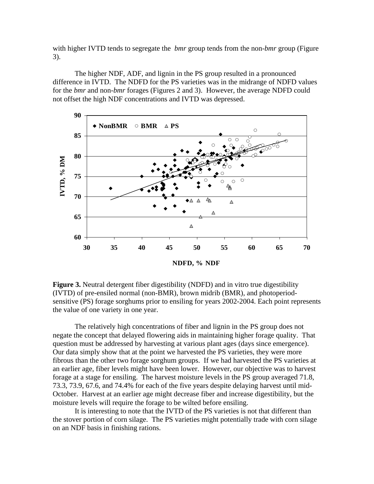with higher IVTD tends to segregate the *bmr* group tends from the non-*bmr* group (Figure 3).

The higher NDF, ADF, and lignin in the PS group resulted in a pronounced difference in IVTD. The NDFD for the PS varieties was in the midrange of NDFD values for the *bmr* and non-*bmr* forages (Figures 2 and 3). However, the average NDFD could not offset the high NDF concentrations and IVTD was depressed.



**Figure 3.** Neutral detergent fiber digestibility (NDFD) and in vitro true digestibility (IVTD) of pre-ensiled normal (non-BMR), brown midrib (BMR), and photoperiodsensitive (PS) forage sorghums prior to ensiling for years 2002-2004. Each point represents the value of one variety in one year.

The relatively high concentrations of fiber and lignin in the PS group does not negate the concept that delayed flowering aids in maintaining higher forage quality. That question must be addressed by harvesting at various plant ages (days since emergence). Our data simply show that at the point we harvested the PS varieties, they were more fibrous than the other two forage sorghum groups. If we had harvested the PS varieties at an earlier age, fiber levels might have been lower. However, our objective was to harvest forage at a stage for ensiling. The harvest moisture levels in the PS group averaged 71.8, 73.3, 73.9, 67.6, and 74.4% for each of the five years despite delaying harvest until mid-October. Harvest at an earlier age might decrease fiber and increase digestibility, but the moisture levels will require the forage to be wilted before ensiling.

It is interesting to note that the IVTD of the PS varieties is not that different than the stover portion of corn silage. The PS varieties might potentially trade with corn silage on an NDF basis in finishing rations.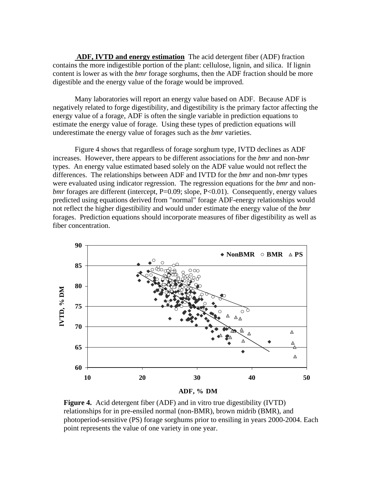**ADF, IVTD and energy estimation** The acid detergent fiber (ADF) fraction contains the more indigestible portion of the plant: cellulose, lignin, and silica. If lignin content is lower as with the *bmr* forage sorghums, then the ADF fraction should be more digestible and the energy value of the forage would be improved.

Many laboratories will report an energy value based on ADF. Because ADF is negatively related to forge digestibility, and digestibility is the primary factor affecting the energy value of a forage, ADF is often the single variable in prediction equations to estimate the energy value of forage. Using these types of prediction equations will underestimate the energy value of forages such as the *bmr* varieties.

Figure 4 shows that regardless of forage sorghum type, IVTD declines as ADF increases. However, there appears to be different associations for the *bmr* and non-*bmr* types. An energy value estimated based solely on the ADF value would not reflect the differences. The relationships between ADF and IVTD for the *bmr* and non-*bmr* types were evaluated using indicator regression. The regression equations for the *bmr* and non*bmr* forages are different (intercept, P=0.09; slope, P<0.01). Consequently, energy values predicted using equations derived from "normal" forage ADF-energy relationships would not reflect the higher digestibility and would under estimate the energy value of the *bmr*  forages. Prediction equations should incorporate measures of fiber digestibility as well as fiber concentration.



**Figure 4.** Acid detergent fiber (ADF) and in vitro true digestibility (IVTD) relationships for in pre-ensiled normal (non-BMR), brown midrib (BMR), and photoperiod-sensitive (PS) forage sorghums prior to ensiling in years 2000-2004. Each point represents the value of one variety in one year.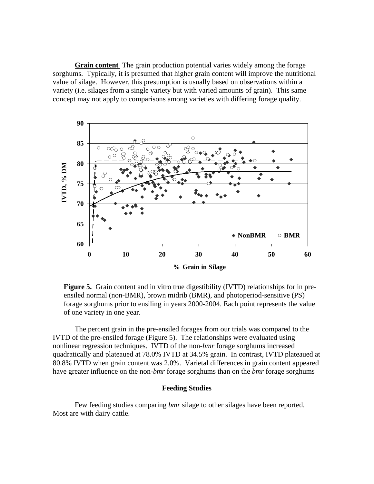**Grain content** The grain production potential varies widely among the forage sorghums. Typically, it is presumed that higher grain content will improve the nutritional value of silage. However, this presumption is usually based on observations within a variety (i.e. silages from a single variety but with varied amounts of grain). This same concept may not apply to comparisons among varieties with differing forage quality.



**Figure 5.** Grain content and in vitro true digestibility (IVTD) relationships for in preensiled normal (non-BMR), brown midrib (BMR), and photoperiod-sensitive (PS) forage sorghums prior to ensiling in years 2000-2004. Each point represents the value of one variety in one year.

The percent grain in the pre-ensiled forages from our trials was compared to the IVTD of the pre-ensiled forage (Figure 5). The relationships were evaluated using nonlinear regression techniques. IVTD of the non-*bmr* forage sorghums increased quadratically and plateaued at 78.0% IVTD at 34.5% grain. In contrast, IVTD plateaued at 80.8% IVTD when grain content was 2.0%. Varietal differences in grain content appeared have greater influence on the non-*bmr* forage sorghums than on the *bmr* forage sorghums

#### **Feeding Studies**

 Few feeding studies comparing *bmr* silage to other silages have been reported. Most are with dairy cattle.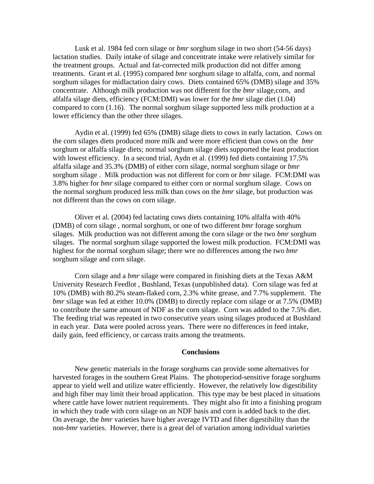Lusk et al. 1984 fed corn silage or *bmr* sorghum silage in two short (54-56 days) lactation studies. Daily intake of silage and concentrate intake were relatively similar for the treatment groups. Actual and fat-corrected milk production did not differ among treatments. Grant et al. (1995) compared *bmr* sorghum silage to alfalfa, corn, and normal sorghum silages for midlactation dairy cows. Diets contained 65% (DMB) silage and 35% concentrate. Although milk production was not different for the *bmr* silage,corn, and alfalfa silage diets, efficiency (FCM:DMI) was lower for the *bmr* silage diet (1.04) compared to corn (1.16). The normal sorghum silage supported less milk production at a lower efficiency than the other three silages.

Aydin et al. (1999) fed 65% (DMB) silage diets to cows in early lactation. Cows on the corn silages diets produced more milk and were more efficient than cows on the *bmr*  sorghum or alfalfa silage diets; normal sorghum silage diets supported the least production with lowest efficiency. In a second trial, Aydn et al. (1999) fed diets containing 17.5% alfalfa silage and 35.3% (DMB) of either corn silage, normal sorghum silage or *bmr* sorghum silage . Milk production was not different for corn or *bmr* silage. FCM:DMI was 3.8% higher for *bmr* silage compared to either corn or normal sorghum silage. Cows on the normal sorghum produced less milk than cows on the *bmr* silage, but production was not different than the cows on corn silage.

Oliver et al. (2004) fed lactating cows diets containing 10% alfalfa with 40% (DMB) of corn silage , normal sorghum, or one of two different *bmr* forage sorghum silages. Milk production was not different among the corn silage or the two *bmr* sorghum silages. The normal sorghum silage supported the lowest milk production. FCM:DMI was highest for the normal sorghum silage; there wre no differences among the two *bmr*  sorghum silage and corn silage.

Corn silage and a *bmr* silage were compared in finishing diets at the Texas A&M University Research Feedlot , Bushland, Texas (unpublished data). Corn silage was fed at 10% (DMB) with 80.2% steam-flaked corn, 2.3% white grease, and 7.7% supplement. The *bmr* silage was fed at either 10.0% (DMB) to directly replace corn silage or at 7.5% (DMB) to contribute the same amount of NDF as the corn silage. Corn was added to the 7.5% diet. The feeding trial was repeated in two consecutive years using silages produced at Bushland in each year. Data were pooled across years. There were no differences in feed intake, daily gain, feed efficiency, or carcass traits among the treatments.

#### **Conclusions**

New genetic materials in the forage sorghums can provide some alternatives for harvested forages in the southern Great Plains. The photoperiod-sensitive forage sorghums appear to yield well and utilize water efficiently. However, the relatively low digestibility and high fiber may limit their broad application. This type may be best placed in situations where cattle have lower nutrient requirements. They might also fit into a finishing program in which they trade with corn silage on an NDF basis and corn is added back to the diet. On average, the *bmr* varieties have higher average IVTD and fiber digestibility than the non-*bmr* varieties. However, there is a great del of variation among individual varieties